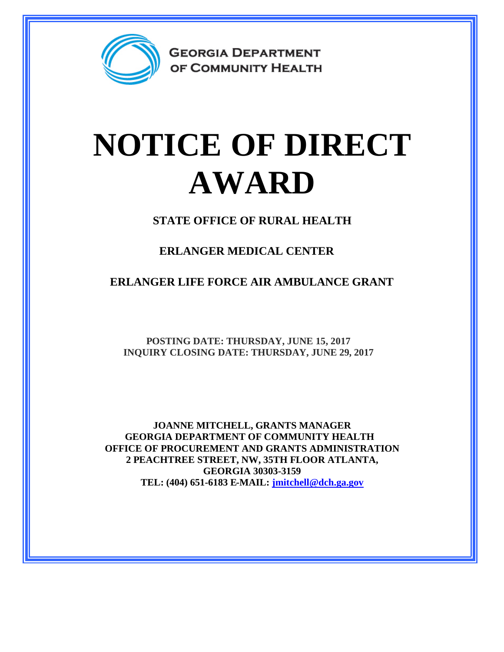

**GEORGIA DEPARTMENT** OF COMMUNITY HEALTH

## **NOTICE OF DIRECT AWARD**

**STATE OFFICE OF RURAL HEALTH**

**ERLANGER MEDICAL CENTER**

**ERLANGER LIFE FORCE AIR AMBULANCE GRANT**

**POSTING DATE: THURSDAY, JUNE 15, 2017 INQUIRY CLOSING DATE: THURSDAY, JUNE 29, 2017**

**JOANNE MITCHELL, GRANTS MANAGER GEORGIA DEPARTMENT OF COMMUNITY HEALTH OFFICE OF PROCUREMENT AND GRANTS ADMINISTRATION 2 PEACHTREE STREET, NW, 35TH FLOOR ATLANTA, GEORGIA 30303-3159 TEL: (404) 651-6183 E-MAIL: [jmitchell@dch.ga.gov](mailto:jmitchell@dch.ga.gov)**